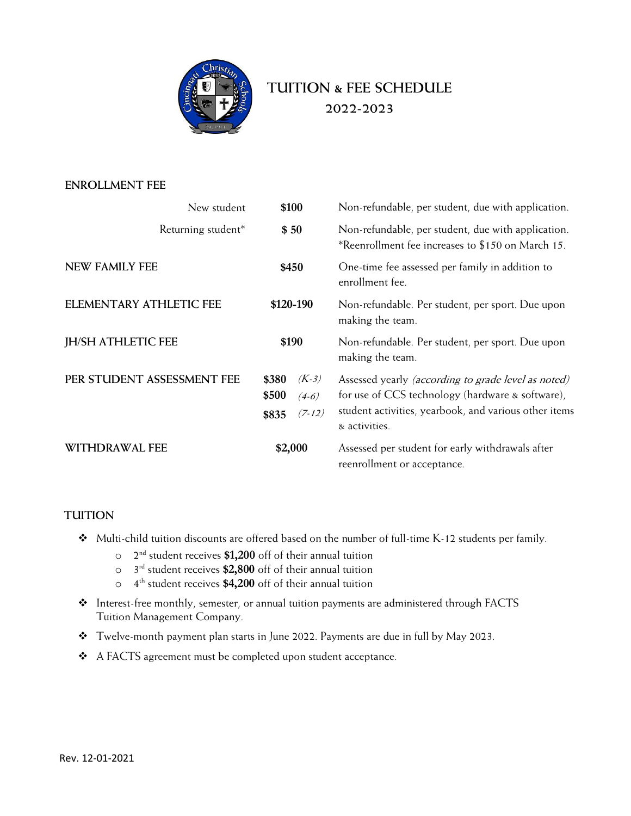

# **TUITION & FEE SCHEDULE 2022-2023**

#### **ENROLLMENT FEE**

| New student                | \$100                                                     | Non-refundable, per student, due with application.                                                                                                                                       |  |
|----------------------------|-----------------------------------------------------------|------------------------------------------------------------------------------------------------------------------------------------------------------------------------------------------|--|
| Returning student*         | \$50                                                      | Non-refundable, per student, due with application.<br>*Reenrollment fee increases to \$150 on March 15.                                                                                  |  |
| <b>NEW FAMILY FEE</b>      | \$450                                                     | One-time fee assessed per family in addition to<br>enrollment fee.                                                                                                                       |  |
| ELEMENTARY ATHLETIC FEE    | \$120-190                                                 | Non-refundable. Per student, per sport. Due upon<br>making the team.                                                                                                                     |  |
| <b>JH/SH ATHLETIC FEE</b>  | \$190                                                     | Non-refundable. Per student, per sport. Due upon<br>making the team.                                                                                                                     |  |
| PER STUDENT ASSESSMENT FEE | $(K-3)$<br>\$380<br>\$500<br>$(4-6)$<br>$(7-12)$<br>\$835 | Assessed yearly <i>(according to grade level as noted)</i><br>for use of CCS technology (hardware & software),<br>student activities, yearbook, and various other items<br>& activities. |  |
| WITHDRAWAL FEE             | \$2,000                                                   | Assessed per student for early withdrawals after<br>reenrollment or acceptance.                                                                                                          |  |

### **TUITION**

- v Multi-child tuition discounts are offered based on the number of full-time K-12 students per family.
	- o 2 nd student receives **\$1,200** off of their annual tuition
	- o 3 rd student receives **\$2,800** off of their annual tuition
	- o 4 th student receives **\$4,200** off of their annual tuition
- \* Interest-free monthly, semester, or annual tuition payments are administered through FACTS Tuition Management Company.
- \* Twelve-month payment plan starts in June 2022. Payments are due in full by May 2023.
- \* A FACTS agreement must be completed upon student acceptance.